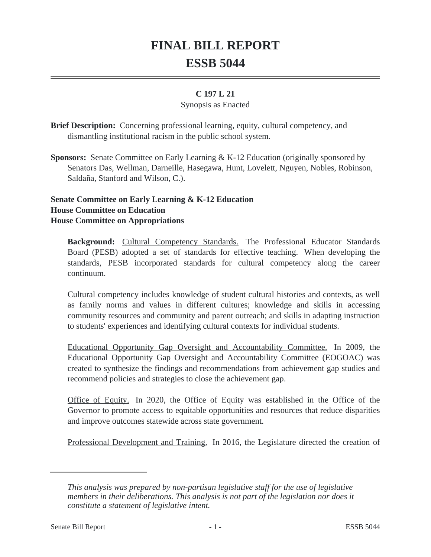# **FINAL BILL REPORT ESSB 5044**

### **C 197 L 21**

#### Synopsis as Enacted

**Brief Description:** Concerning professional learning, equity, cultural competency, and dismantling institutional racism in the public school system.

**Sponsors:** Senate Committee on Early Learning & K-12 Education (originally sponsored by Senators Das, Wellman, Darneille, Hasegawa, Hunt, Lovelett, Nguyen, Nobles, Robinson, Saldaña, Stanford and Wilson, C.).

## **Senate Committee on Early Learning & K-12 Education House Committee on Education House Committee on Appropriations**

**Background:** Cultural Competency Standards. The Professional Educator Standards Board (PESB) adopted a set of standards for effective teaching. When developing the standards, PESB incorporated standards for cultural competency along the career continuum.

Cultural competency includes knowledge of student cultural histories and contexts, as well as family norms and values in different cultures; knowledge and skills in accessing community resources and community and parent outreach; and skills in adapting instruction to students' experiences and identifying cultural contexts for individual students.

Educational Opportunity Gap Oversight and Accountability Committee. In 2009, the Educational Opportunity Gap Oversight and Accountability Committee (EOGOAC) was created to synthesize the findings and recommendations from achievement gap studies and recommend policies and strategies to close the achievement gap.

Office of Equity. In 2020, the Office of Equity was established in the Office of the Governor to promote access to equitable opportunities and resources that reduce disparities and improve outcomes statewide across state government.

Professional Development and Training. In 2016, the Legislature directed the creation of

*This analysis was prepared by non-partisan legislative staff for the use of legislative members in their deliberations. This analysis is not part of the legislation nor does it constitute a statement of legislative intent.*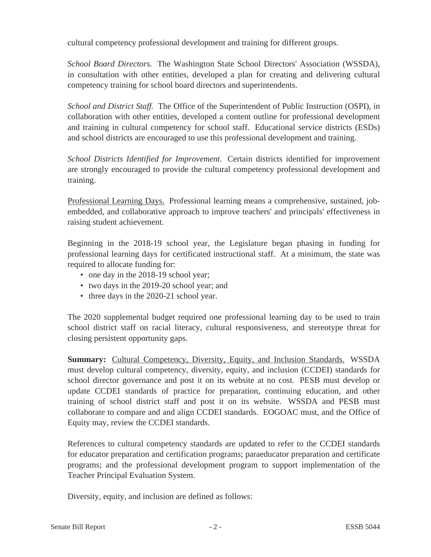cultural competency professional development and training for different groups.

*School Board Directors.* The Washington State School Directors' Association (WSSDA), in consultation with other entities, developed a plan for creating and delivering cultural competency training for school board directors and superintendents.

*School and District Staff.* The Office of the Superintendent of Public Instruction (OSPI), in collaboration with other entities, developed a content outline for professional development and training in cultural competency for school staff. Educational service districts (ESDs) and school districts are encouraged to use this professional development and training.

*School Districts Identified for Improvement.* Certain districts identified for improvement are strongly encouraged to provide the cultural competency professional development and training.

Professional Learning Days. Professional learning means a comprehensive, sustained, jobembedded, and collaborative approach to improve teachers' and principals' effectiveness in raising student achievement.

Beginning in the 2018-19 school year, the Legislature began phasing in funding for professional learning days for certificated instructional staff. At a minimum, the state was required to allocate funding for:

- one day in the 2018-19 school year;
- two days in the 2019-20 school year; and
- three days in the 2020-21 school year.

The 2020 supplemental budget required one professional learning day to be used to train school district staff on racial literacy, cultural responsiveness, and stereotype threat for closing persistent opportunity gaps.

**Summary:** Cultural Competency, Diversity, Equity, and Inclusion Standards. WSSDA must develop cultural competency, diversity, equity, and inclusion (CCDEI) standards for school director governance and post it on its website at no cost. PESB must develop or update CCDEI standards of practice for preparation, continuing education, and other training of school district staff and post it on its website. WSSDA and PESB must collaborate to compare and and align CCDEI standards. EOGOAC must, and the Office of Equity may, review the CCDEI standards.

References to cultural competency standards are updated to refer to the CCDEI standards for educator preparation and certification programs; paraeducator preparation and certificate programs; and the professional development program to support implementation of the Teacher Principal Evaluation System.

Diversity, equity, and inclusion are defined as follows: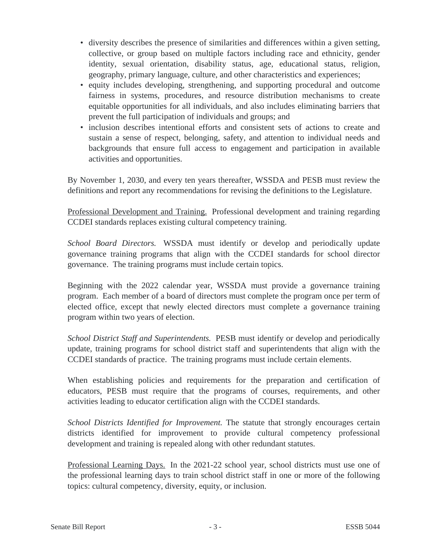- diversity describes the presence of similarities and differences within a given setting, collective, or group based on multiple factors including race and ethnicity, gender identity, sexual orientation, disability status, age, educational status, religion, geography, primary language, culture, and other characteristics and experiences;
- equity includes developing, strengthening, and supporting procedural and outcome fairness in systems, procedures, and resource distribution mechanisms to create equitable opportunities for all individuals, and also includes eliminating barriers that prevent the full participation of individuals and groups; and
- inclusion describes intentional efforts and consistent sets of actions to create and sustain a sense of respect, belonging, safety, and attention to individual needs and backgrounds that ensure full access to engagement and participation in available activities and opportunities.

By November 1, 2030, and every ten years thereafter, WSSDA and PESB must review the definitions and report any recommendations for revising the definitions to the Legislature.

Professional Development and Training. Professional development and training regarding CCDEI standards replaces existing cultural competency training.

*School Board Directors.* WSSDA must identify or develop and periodically update governance training programs that align with the CCDEI standards for school director governance. The training programs must include certain topics.

Beginning with the 2022 calendar year, WSSDA must provide a governance training program. Each member of a board of directors must complete the program once per term of elected office, except that newly elected directors must complete a governance training program within two years of election.

*School District Staff and Superintendents.* PESB must identify or develop and periodically update, training programs for school district staff and superintendents that align with the CCDEI standards of practice. The training programs must include certain elements.

When establishing policies and requirements for the preparation and certification of educators, PESB must require that the programs of courses, requirements, and other activities leading to educator certification align with the CCDEI standards.

*School Districts Identified for Improvement.* The statute that strongly encourages certain districts identified for improvement to provide cultural competency professional development and training is repealed along with other redundant statutes.

Professional Learning Days. In the 2021-22 school year, school districts must use one of the professional learning days to train school district staff in one or more of the following topics: cultural competency, diversity, equity, or inclusion.